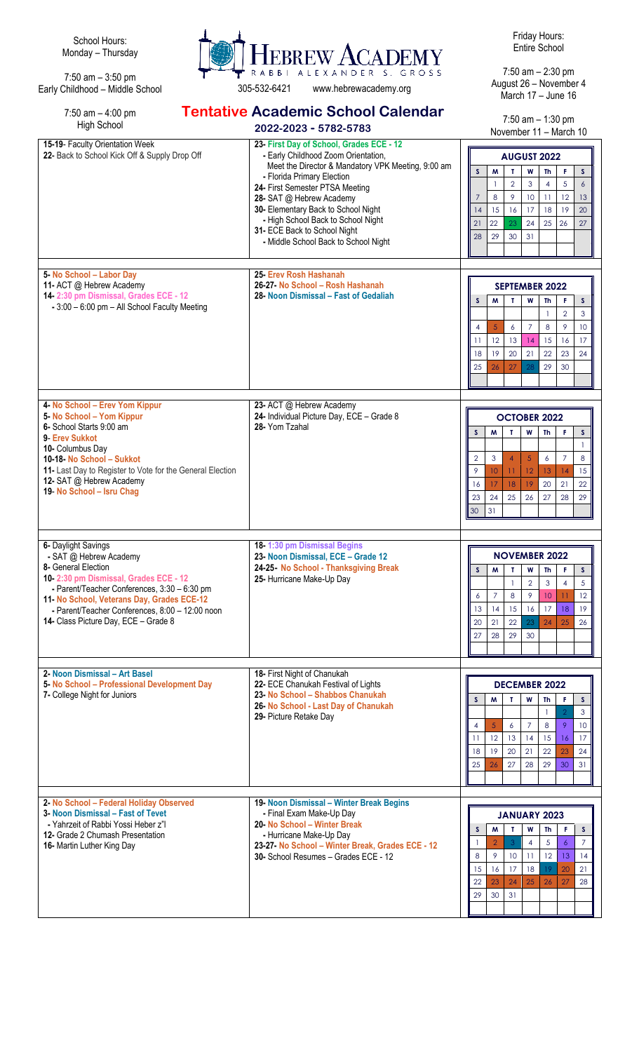School Hours: Monday – Thursday

7:50 am – 3:50 pm Early Childhood – Middle School

7:50 am – 4:00 pm



**Tentative Academic School Calendar**

305-532-6421 www.hebrewacademy.org

Friday Hours: Entire School

7:50 am – 2:30 pm August 26 – November 4 March 17 – June 16

7:50 am – 1:30 pm November 11 – March 10

| <b>High School</b>                                                                                                                                                                                                                                                                                     | 2022-2023 - 5782-5783                                                                                                                                                                                                                                                                                                                                                                   | $1.50$ and $-1.50$ pm<br>November 11 - March 10                                                                                                                                                                                                                                                                         |
|--------------------------------------------------------------------------------------------------------------------------------------------------------------------------------------------------------------------------------------------------------------------------------------------------------|-----------------------------------------------------------------------------------------------------------------------------------------------------------------------------------------------------------------------------------------------------------------------------------------------------------------------------------------------------------------------------------------|-------------------------------------------------------------------------------------------------------------------------------------------------------------------------------------------------------------------------------------------------------------------------------------------------------------------------|
| 15-19- Faculty Orientation Week<br>22- Back to School Kick Off & Supply Drop Off                                                                                                                                                                                                                       | 23- First Day of School, Grades ECE - 12<br>- Early Childhood Zoom Orientation,<br>Meet the Director & Mandatory VPK Meeting, 9:00 am<br>- Florida Primary Election<br>24- First Semester PTSA Meeting<br>28- SAT @ Hebrew Academy<br>30- Elementary Back to School Night<br>- High School Back to School Night<br>31- ECE Back to School Night<br>- Middle School Back to School Night | <b>AUGUST 2022</b><br>$\mathsf{s}$<br>M<br>T<br>W<br>Th<br>F.<br>S<br>$\overline{2}$<br>5<br>3<br>4<br>6<br>8<br>9<br>$\overline{7}$<br>10<br>12<br>$\overline{11}$<br>13<br>15<br>16<br>17<br>18<br>19<br>20<br>14<br>22<br>23<br>24<br>25<br>26<br>21<br>27<br>29<br>30<br>31<br>28                                   |
| 5- No School - Labor Day<br>11- ACT @ Hebrew Academy<br>14-2:30 pm Dismissal, Grades ECE - 12<br>- 3:00 - 6:00 pm - All School Faculty Meeting                                                                                                                                                         | 25- Erev Rosh Hashanah<br>26-27 No School - Rosh Hashanah<br>28- Noon Dismissal – Fast of Gedaliah                                                                                                                                                                                                                                                                                      | <b>SEPTEMBER 2022</b><br>M<br>Т<br>W<br>Th<br>F.<br>S<br>S<br>$\overline{2}$<br>3<br>9<br>5<br>8<br>10<br>$\overline{4}$<br>6<br>7<br>12<br>15<br>13<br>16<br>17<br>11<br>14<br>22<br>19<br>20<br>18<br>21<br>23<br>24<br>27<br>29<br>25<br>26<br>28<br>30                                                              |
| 4- No School - Erev Yom Kippur<br>5- No School - Yom Kippur<br>6- School Starts 9:00 am<br>9- Erev Sukkot<br>10- Columbus Day<br>10-18- No School - Sukkot<br>11- Last Day to Register to Vote for the General Election<br>12- SAT @ Hebrew Academy<br>19- No School - Isru Chag                       | 23- ACT @ Hebrew Academy<br>24- Individual Picture Day, ECE - Grade 8<br>28- Yom Tzahal                                                                                                                                                                                                                                                                                                 | <b>OCTOBER 2022</b><br>T<br>W<br>F<br>S<br>W<br>Th<br>S<br>$\overline{5}$<br>$\overline{2}$<br>3<br>$\overline{4}$<br>$\overline{7}$<br>8<br>6<br>12<br>9<br>10<br>11<br>13<br>14<br>15<br>18<br>19<br>20<br>21<br>22<br>16<br>17<br>23<br>25<br>26<br>27<br>28<br>29<br>24<br>30<br>31                                 |
| 6- Daylight Savings<br>- SAT @ Hebrew Academy<br>8- General Election<br>10-2:30 pm Dismissal, Grades ECE - 12<br>- Parent/Teacher Conferences, 3:30 - 6:30 pm<br>11- No School, Veterans Day, Grades ECE-12<br>- Parent/Teacher Conferences, 8:00 - 12:00 noon<br>14- Class Picture Day, ECE - Grade 8 | 18-1:30 pm Dismissal Begins<br>23- Noon Dismissal, ECE - Grade 12<br>24-25- No School - Thanksgiving Break<br>25- Hurricane Make-Up Day                                                                                                                                                                                                                                                 | <b>NOVEMBER 2022</b><br>S<br>W<br>S.<br>т<br>W<br>Th<br>F<br>$\overline{2}$<br>3<br>5<br>$\overline{4}$<br>$\mathbf{1}$<br>$\overline{7}$<br>8<br>9<br>10<br>$\overline{11}$<br>12<br>6<br>19<br>14<br>15<br>16<br>17<br>18<br>13<br>22<br>24<br>25<br>26<br>20<br>21<br>23<br>28<br>29<br>27<br>30                     |
| 2- Noon Dismissal - Art Basel<br>5- No School - Professional Development Day<br>7- College Night for Juniors                                                                                                                                                                                           | 18- First Night of Chanukah<br>22- ECE Chanukah Festival of Lights<br>23- No School - Shabbos Chanukah<br>26- No School - Last Day of Chanukah<br>29- Picture Retake Day                                                                                                                                                                                                                | <b>DECEMBER 2022</b><br>$\mathsf{s}$<br>W<br>$\mathsf{s}$<br>M<br>T.<br><b>Th</b><br>F.<br>3<br>$\mathbf{1}$<br>$\overline{7}$<br>9<br>5<br>6<br>8<br>$\overline{4}$<br>10<br>12<br>11<br>13<br>14<br>15<br>16<br>17<br>24<br>19<br>20<br>21<br>22<br>18<br>23<br>27<br>28<br>29<br>31<br>25<br>26<br>30                |
| 2- No School - Federal Holiday Observed<br>3- Noon Dismissal – Fast of Tevet<br>- Yahrzeit of Rabbi Yossi Heber z"l<br>12- Grade 2 Chumash Presentation<br>16- Martin Luther King Day                                                                                                                  | 19- Noon Dismissal - Winter Break Begins<br>- Final Exam Make-Up Day<br>20- No School - Winter Break<br>- Hurricane Make-Up Day<br>23-27- No School - Winter Break, Grades ECE - 12<br>30- School Resumes - Grades ECE - 12                                                                                                                                                             | <b>JANUARY 2023</b><br>s<br>M<br>Т<br>W<br>Th<br>F<br>s<br>5<br>$\overline{7}$<br>$\overline{2}$<br>3<br>$\ddot{\delta}$<br>$\overline{4}$<br>$\overline{1}$<br>9<br>12<br>8<br>10 <sup>°</sup><br>11<br>13<br>14<br>16<br>17<br>20<br>15<br>18<br>19<br>21<br>23<br>24<br>27<br>25<br>28<br>22<br>26<br>30<br>29<br>31 |